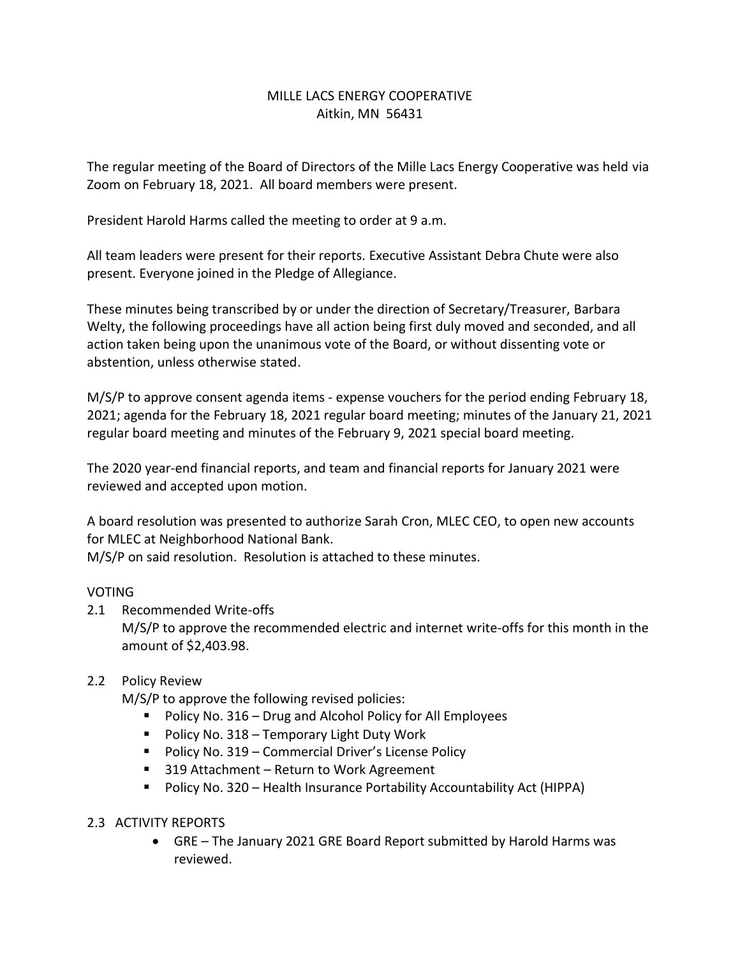# MILLE LACS ENERGY COOPERATIVE Aitkin, MN 56431

The regular meeting of the Board of Directors of the Mille Lacs Energy Cooperative was held via Zoom on February 18, 2021. All board members were present.

President Harold Harms called the meeting to order at 9 a.m.

All team leaders were present for their reports. Executive Assistant Debra Chute were also present. Everyone joined in the Pledge of Allegiance.

These minutes being transcribed by or under the direction of Secretary/Treasurer, Barbara Welty, the following proceedings have all action being first duly moved and seconded, and all action taken being upon the unanimous vote of the Board, or without dissenting vote or abstention, unless otherwise stated.

M/S/P to approve consent agenda items - expense vouchers for the period ending February 18, 2021; agenda for the February 18, 2021 regular board meeting; minutes of the January 21, 2021 regular board meeting and minutes of the February 9, 2021 special board meeting.

The 2020 year-end financial reports, and team and financial reports for January 2021 were reviewed and accepted upon motion.

A board resolution was presented to authorize Sarah Cron, MLEC CEO, to open new accounts for MLEC at Neighborhood National Bank.

M/S/P on said resolution. Resolution is attached to these minutes.

## VOTING

- 2.1 Recommended Write-offs M/S/P to approve the recommended electric and internet write-offs for this month in the amount of \$2,403.98.
- 2.2 Policy Review
	- M/S/P to approve the following revised policies:
		- Policy No. 316 Drug and Alcohol Policy for All Employees
		- Policy No. 318 Temporary Light Duty Work
		- Policy No. 319 Commercial Driver's License Policy
		- 319 Attachment Return to Work Agreement
		- Policy No. 320 Health Insurance Portability Accountability Act (HIPPA)
- 2.3 ACTIVITY REPORTS
	- GRE The January 2021 GRE Board Report submitted by Harold Harms was reviewed.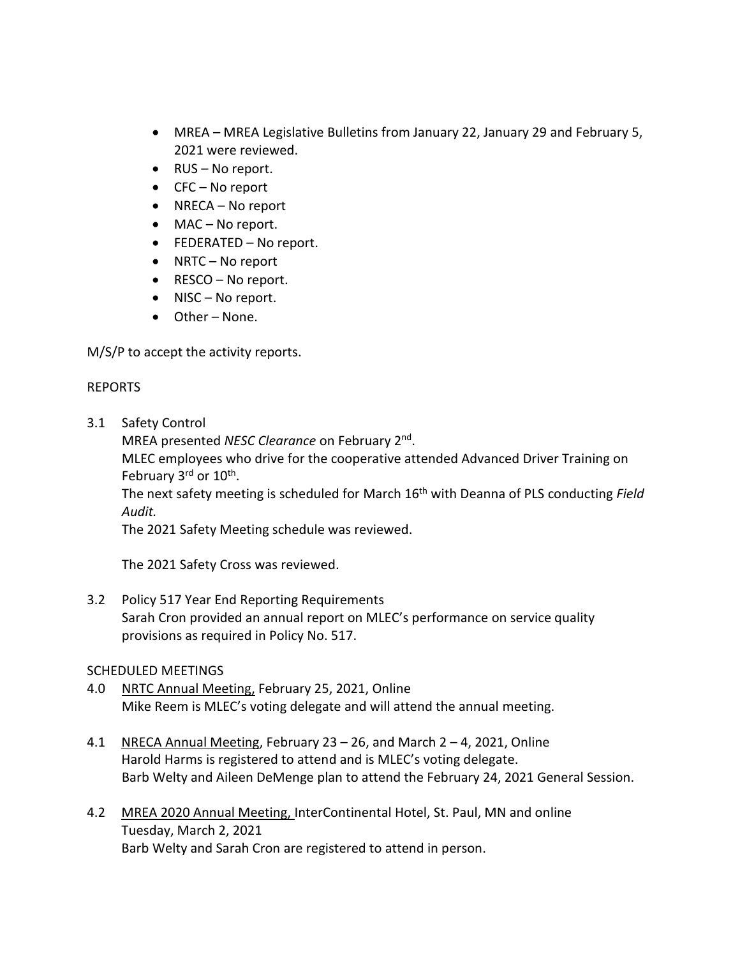- MREA MREA Legislative Bulletins from January 22, January 29 and February 5, 2021 were reviewed.
- RUS No report.
- CFC No report
- NRECA No report
- MAC No report.
- FEDERATED No report.
- NRTC No report
- RESCO No report.
- NISC No report.
- Other None.

M/S/P to accept the activity reports.

### REPORTS

3.1 Safety Control

MREA presented NESC Clearance on February 2<sup>nd</sup>.

MLEC employees who drive for the cooperative attended Advanced Driver Training on February 3<sup>rd</sup> or 10<sup>th</sup>.

The next safety meeting is scheduled for March 16th with Deanna of PLS conducting *Field Audit.* 

The 2021 Safety Meeting schedule was reviewed.

The 2021 Safety Cross was reviewed.

3.2 Policy 517 Year End Reporting Requirements Sarah Cron provided an annual report on MLEC's performance on service quality provisions as required in Policy No. 517.

## SCHEDULED MEETINGS

- 4.0 NRTC Annual Meeting, February 25, 2021, Online Mike Reem is MLEC's voting delegate and will attend the annual meeting.
- 4.1 NRECA Annual Meeting, February 23 26, and March 2 4, 2021, Online Harold Harms is registered to attend and is MLEC's voting delegate. Barb Welty and Aileen DeMenge plan to attend the February 24, 2021 General Session.
- 4.2 MREA 2020 Annual Meeting, InterContinental Hotel, St. Paul, MN and online Tuesday, March 2, 2021 Barb Welty and Sarah Cron are registered to attend in person.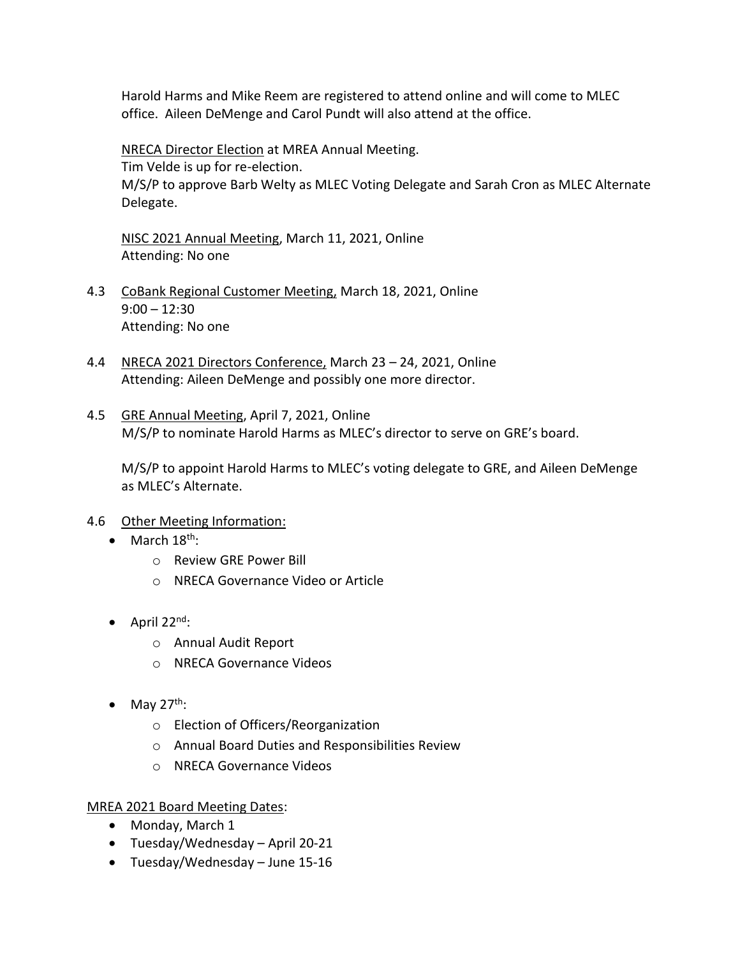Harold Harms and Mike Reem are registered to attend online and will come to MLEC office. Aileen DeMenge and Carol Pundt will also attend at the office.

NRECA Director Election at MREA Annual Meeting. Tim Velde is up for re-election. M/S/P to approve Barb Welty as MLEC Voting Delegate and Sarah Cron as MLEC Alternate Delegate.

NISC 2021 Annual Meeting, March 11, 2021, Online Attending: No one

- 4.3 CoBank Regional Customer Meeting, March 18, 2021, Online 9:00 – 12:30 Attending: No one
- 4.4 NRECA 2021 Directors Conference, March 23 24, 2021, Online Attending: Aileen DeMenge and possibly one more director.
- 4.5 GRE Annual Meeting, April 7, 2021, Online M/S/P to nominate Harold Harms as MLEC's director to serve on GRE's board.

M/S/P to appoint Harold Harms to MLEC's voting delegate to GRE, and Aileen DeMenge as MLEC's Alternate.

- 4.6 Other Meeting Information:
	- $\bullet$  March 18<sup>th</sup>:
		- o Review GRE Power Bill
		- o NRECA Governance Video or Article
	- April  $22^{nd}$ :
		- o Annual Audit Report
		- o NRECA Governance Videos
	- $\bullet$  May 27<sup>th</sup>:
		- o Election of Officers/Reorganization
		- o Annual Board Duties and Responsibilities Review
		- o NRECA Governance Videos

#### MREA 2021 Board Meeting Dates:

- Monday, March 1
- Tuesday/Wednesday April 20-21
- Tuesday/Wednesday June 15-16